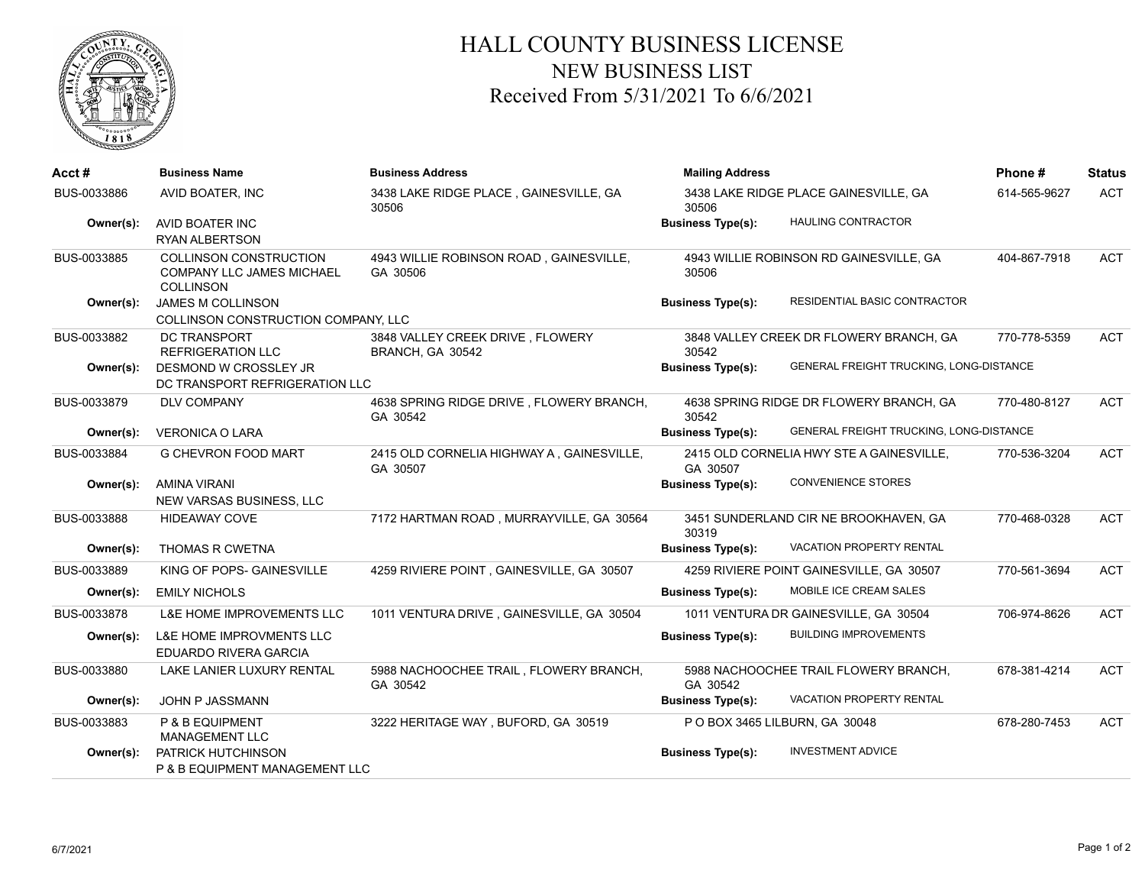

## HALL COUNTY BUSINESS LICENSE NEW BUSINESS LIST Received From 5/31/2021 To 6/6/2021

| Acct#       | <b>Business Name</b>                                                           | <b>Business Address</b>                               | <b>Mailing Address</b>                         | Phone#                                   | <b>Status</b> |            |
|-------------|--------------------------------------------------------------------------------|-------------------------------------------------------|------------------------------------------------|------------------------------------------|---------------|------------|
| BUS-0033886 | AVID BOATER, INC                                                               | 3438 LAKE RIDGE PLACE, GAINESVILLE, GA<br>30506       | 3438 LAKE RIDGE PLACE GAINESVILLE, GA<br>30506 |                                          | 614-565-9627  | <b>ACT</b> |
| Owner(s):   | AVID BOATER INC<br><b>RYAN ALBERTSON</b>                                       |                                                       | <b>Business Type(s):</b>                       | <b>HAULING CONTRACTOR</b>                |               |            |
| BUS-0033885 | COLLINSON CONSTRUCTION<br><b>COMPANY LLC JAMES MICHAEL</b><br><b>COLLINSON</b> | 4943 WILLIE ROBINSON ROAD, GAINESVILLE,<br>GA 30506   | 30506                                          | 4943 WILLIE ROBINSON RD GAINESVILLE, GA  | 404-867-7918  | <b>ACT</b> |
| Owner(s):   | <b>JAMES M COLLINSON</b><br>COLLINSON CONSTRUCTION COMPANY, LLC                |                                                       | <b>Business Type(s):</b>                       | RESIDENTIAL BASIC CONTRACTOR             |               |            |
| BUS-0033882 | DC TRANSPORT<br><b>REFRIGERATION LLC</b>                                       | 3848 VALLEY CREEK DRIVE, FLOWERY<br>BRANCH, GA 30542  | 30542                                          | 3848 VALLEY CREEK DR FLOWERY BRANCH, GA  | 770-778-5359  | <b>ACT</b> |
| Owner(s):   | DESMOND W CROSSLEY JR<br>DC TRANSPORT REFRIGERATION LLC                        |                                                       | <b>Business Type(s):</b>                       | GENERAL FREIGHT TRUCKING, LONG-DISTANCE  |               |            |
| BUS-0033879 | <b>DLV COMPANY</b>                                                             | 4638 SPRING RIDGE DRIVE, FLOWERY BRANCH,<br>GA 30542  | 30542                                          | 4638 SPRING RIDGE DR FLOWERY BRANCH, GA  | 770-480-8127  | <b>ACT</b> |
| Owner(s):   | <b>VERONICA O LARA</b>                                                         |                                                       | <b>Business Type(s):</b>                       | GENERAL FREIGHT TRUCKING, LONG-DISTANCE  |               |            |
| BUS-0033884 | <b>G CHEVRON FOOD MART</b>                                                     | 2415 OLD CORNELIA HIGHWAY A, GAINESVILLE,<br>GA 30507 | GA 30507                                       | 2415 OLD CORNELIA HWY STE A GAINESVILLE, | 770-536-3204  | <b>ACT</b> |
| Owner(s):   | <b>AMINA VIRANI</b><br>NEW VARSAS BUSINESS, LLC                                |                                                       | <b>Business Type(s):</b>                       | <b>CONVENIENCE STORES</b>                |               |            |
| BUS-0033888 | <b>HIDEAWAY COVE</b>                                                           | 7172 HARTMAN ROAD, MURRAYVILLE, GA 30564              | 30319                                          | 3451 SUNDERLAND CIR NE BROOKHAVEN, GA    | 770-468-0328  | <b>ACT</b> |
| Owner(s):   | <b>THOMAS R CWETNA</b>                                                         |                                                       | <b>Business Type(s):</b>                       | <b>VACATION PROPERTY RENTAL</b>          |               |            |
| BUS-0033889 | KING OF POPS- GAINESVILLE                                                      | 4259 RIVIERE POINT, GAINESVILLE, GA 30507             |                                                | 4259 RIVIERE POINT GAINESVILLE, GA 30507 | 770-561-3694  | <b>ACT</b> |
| Owner(s):   | <b>EMILY NICHOLS</b>                                                           |                                                       | <b>Business Type(s):</b>                       | MOBILE ICE CREAM SALES                   |               |            |
| BUS-0033878 | L&E HOME IMPROVEMENTS LLC                                                      | 1011 VENTURA DRIVE, GAINESVILLE, GA 30504             |                                                | 1011 VENTURA DR GAINESVILLE, GA 30504    | 706-974-8626  | <b>ACT</b> |
| Owner(s):   | <b>L&amp;E HOME IMPROVMENTS LLC</b><br><b>EDUARDO RIVERA GARCIA</b>            |                                                       | <b>Business Type(s):</b>                       | <b>BUILDING IMPROVEMENTS</b>             |               |            |
| BUS-0033880 | LAKE LANIER LUXURY RENTAL                                                      | 5988 NACHOOCHEE TRAIL, FLOWERY BRANCH,<br>GA 30542    | GA 30542                                       | 5988 NACHOOCHEE TRAIL FLOWERY BRANCH,    | 678-381-4214  | <b>ACT</b> |
| Owner(s):   | JOHN P JASSMANN                                                                |                                                       | <b>Business Type(s):</b>                       | <b>VACATION PROPERTY RENTAL</b>          |               |            |
| BUS-0033883 | P & B EQUIPMENT<br><b>MANAGEMENT LLC</b>                                       | 3222 HERITAGE WAY, BUFORD, GA 30519                   |                                                | P O BOX 3465 LILBURN, GA 30048           | 678-280-7453  | <b>ACT</b> |
| Owner(s):   | PATRICK HUTCHINSON<br>P & B EQUIPMENT MANAGEMENT LLC                           |                                                       | <b>Business Type(s):</b>                       | <b>INVESTMENT ADVICE</b>                 |               |            |